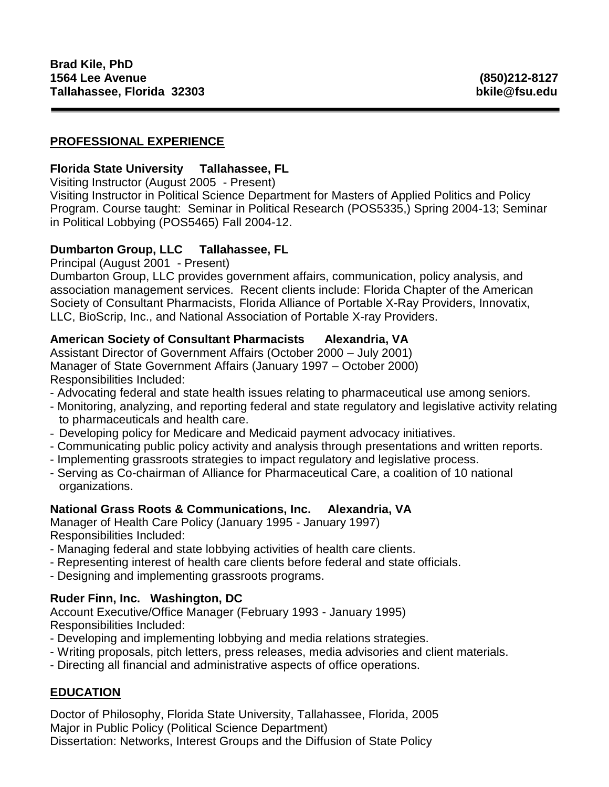# **PROFESSIONAL EXPERIENCE**

### **Florida State University Tallahassee, FL**

Visiting Instructor (August 2005 - Present) Visiting Instructor in Political Science Department for Masters of Applied Politics and Policy Program. Course taught: Seminar in Political Research (POS5335,) Spring 2004-13; Seminar in Political Lobbying (POS5465) Fall 2004-12.

## **Dumbarton Group, LLC Tallahassee, FL**

Principal (August 2001 - Present)

Dumbarton Group, LLC provides government affairs, communication, policy analysis, and association management services. Recent clients include: Florida Chapter of the American Society of Consultant Pharmacists, Florida Alliance of Portable X-Ray Providers, Innovatix, LLC, BioScrip, Inc., and National Association of Portable X-ray Providers.

## **American Society of Consultant Pharmacists Alexandria, VA**

Assistant Director of Government Affairs (October 2000 – July 2001) Manager of State Government Affairs (January 1997 – October 2000) Responsibilities Included:

- Advocating federal and state health issues relating to pharmaceutical use among seniors.
- Monitoring, analyzing, and reporting federal and state regulatory and legislative activity relating to pharmaceuticals and health care.
- Developing policy for Medicare and Medicaid payment advocacy initiatives.
- Communicating public policy activity and analysis through presentations and written reports.
- Implementing grassroots strategies to impact regulatory and legislative process.
- Serving as Co-chairman of Alliance for Pharmaceutical Care, a coalition of 10 national organizations.

### **National Grass Roots & Communications, Inc. Alexandria, VA**

Manager of Health Care Policy (January 1995 - January 1997) Responsibilities Included:

- Managing federal and state lobbying activities of health care clients.
- Representing interest of health care clients before federal and state officials.
- Designing and implementing grassroots programs.

# **Ruder Finn, Inc. Washington, DC**

Account Executive/Office Manager (February 1993 - January 1995) Responsibilities Included:

- Developing and implementing lobbying and media relations strategies.
- Writing proposals, pitch letters, press releases, media advisories and client materials.
- Directing all financial and administrative aspects of office operations.

# **EDUCATION**

Doctor of Philosophy, Florida State University, Tallahassee, Florida, 2005 Major in Public Policy (Political Science Department) Dissertation: Networks, Interest Groups and the Diffusion of State Policy